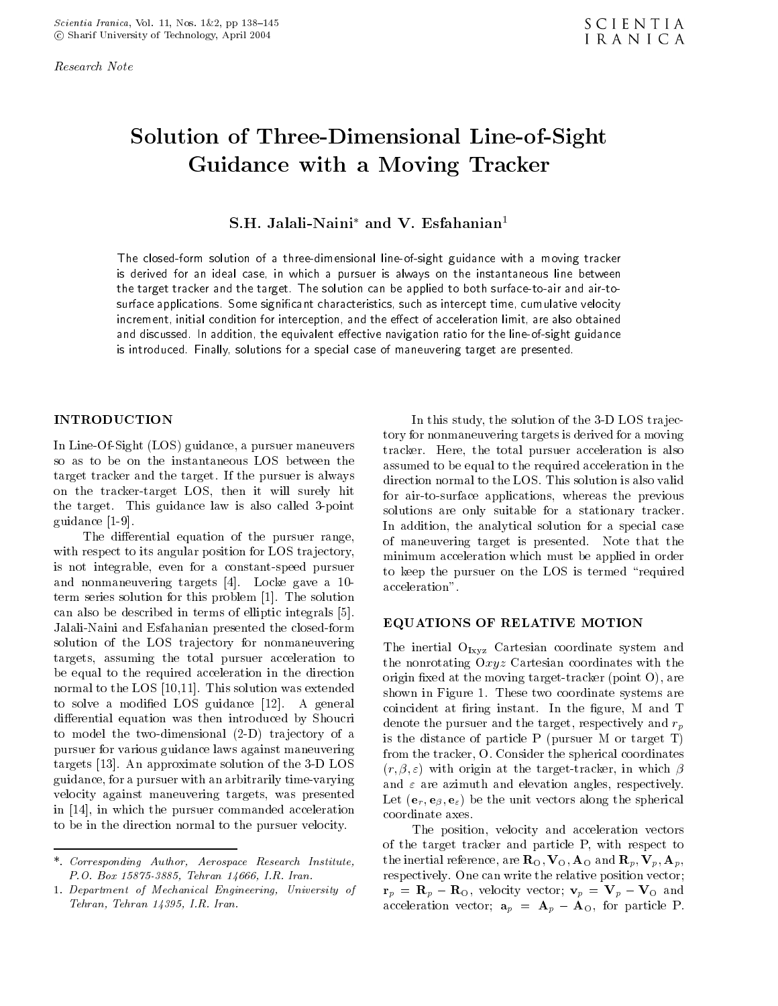Research Note

## solution of The ThreeDimensional Lineof Company and Line Guidance with <sup>a</sup> Moving Tracker

## S.H. Jalah-Naini and V. Esiananian

The closedform solution of <sup>a</sup> threedimensional lineofsight guidance with <sup>a</sup> moving tracker is derived for an ideal case- in which <sup>a</sup> pursuer is always on the instantaneous line between the target tracker and the target The solution can be applied to both surfacetoair and airto surface applications Some signicant characteristics- such as intercept time- cumulative velocityincrement, initial condition for interception, and the enect or acceleration limit, are also obtained and discussed In addition- the equivalent eective navigation ratio for the lineofsight guidanceis introduced. Thirdly, solutions for a special case of maneuvering target are presented.

## INTRODUCTION

In LineOfSight -LOS guidance a pursuer maneuvers so as to be on the instantaneous LOS between the target tracker and the target. If the pursuer is always on the tracker-target LOS, then it will surely hit the target. This guidance law is also called 3-point guidance 

The differential equation of the pursuer range, with respect to its angular position for LOS trajectory, is not integrable, even for a constant-speed pursuer and decomposition and the gave a control of the control of the control of the control of the control of the co term series solution for the solution for the solution for the solution for the solution  $\Gamma$ can also be described in terms of elliptic integrals in terms of elliptic integrals in the canonical control of Jalali-Naini and Esfahanian presented the closed-form solution of the LOS trajectory for nonmaneuvering targets, assuming the total pursuer acceleration to be equal to the required acceleration in the direction normal to the LOS (LOS) in the LOS was extended was extended was also was the state of  $\sim$ to solve a modification of  $\Delta$  and  $\Delta$  and  $\Delta$  and  $\Delta$  are  $\Delta$  and  $\Delta$ differential equation was then introduced by Shoucri to model the twodimensional -D tra jectory of a pursuer for various guidance laws against maneuvering targets and the D LOS of the D LOS of the D LOS of the D LOS of the D LOS of the D LOS of the D LOS of the D L guidance, for a pursuer with an arbitrarily time-varying velocity against maneuvering targets, was presented in  in which the pursuer commanded acceleration to be in the direction normal to the pursuer velocity

In this study, the solution of the 3-D LOS trajectory for nonmaneuvering targets is derived for a moving tracker. Here, the total pursuer acceleration is also assumed to be equal to the required acceleration in the direction normal to the LOS. This solution is also valid for air-to-surface applications, whereas the previous solutions are only suitable for a stationary tracker In addition, the analytical solution for a special case of maneuvering target is presented. Note that the minimum acceleration which must be applied in order to keep the pursuer on the LOS is termed "required acceleration

#### EQUATIONS OF RELATIVE MOTION

The inertial  $O_{Ixyz}$  Cartesian coordinate system and the nonrotating Oxyz Cartesian coordinates with the origin movies at the moving the ground of the moving the moving of  $\mathcal{L}$ shown in Figure 1. These two coordinate systems are coincident at firing instant. In the figure, M and T denote the pursuer and the target, respectively and  $r_p$ is the distance of particle  $\mathcal{M}$  -distance of particle  $\mathcal{M}$  -distance of particle  $\mathcal{M}$ from the tracker, O. Consider the spherical coordinates  $r$  -contracts the targettracker in which  $r$  at the targettracker in which  $r$ and  $\varepsilon$  are azimuth and elevation angles, respectively. er the unit vectors along the spherical theory along the spherical contract of the spherical contract of the spherical contract of the spherical contract of the spherical contract of the spherical contract of the spherical coordinate axes

The position, velocity and acceleration vectors of the target tracker and particle P, with respect to the inertial reference, are  $\mathbf{R}_{\text{O}}$ ,  $\mathbf{V}_{\text{O}}$ ,  $\mathbf{A}_{\text{O}}$  and  $\mathbf{R}_p$ ,  $\mathbf{V}_p$ ,  $\mathbf{A}_p$ , respectively. One can write the relative position vector;  $\mathbf{r}_p = \mathbf{R}_p - \mathbf{R}_O$ , velocity vector;  $\mathbf{v}_p = \mathbf{V}_p - \mathbf{V}_O$  and acceleration vector;  $\mathbf{a}_p = \mathbf{A}_p - \mathbf{A}_o$ , for particle P.

<sup>-</sup> Corresponding Author Aerospace Research Institute P-O- Box Tehran I-R- Iran-

<sup>-</sup> Department of Mechanical Engineering University of Tehran III in the state of the state of the state of the state of the state of the state of the state of the state of the state of the state of the state of the state of the state of the state of the state of the state of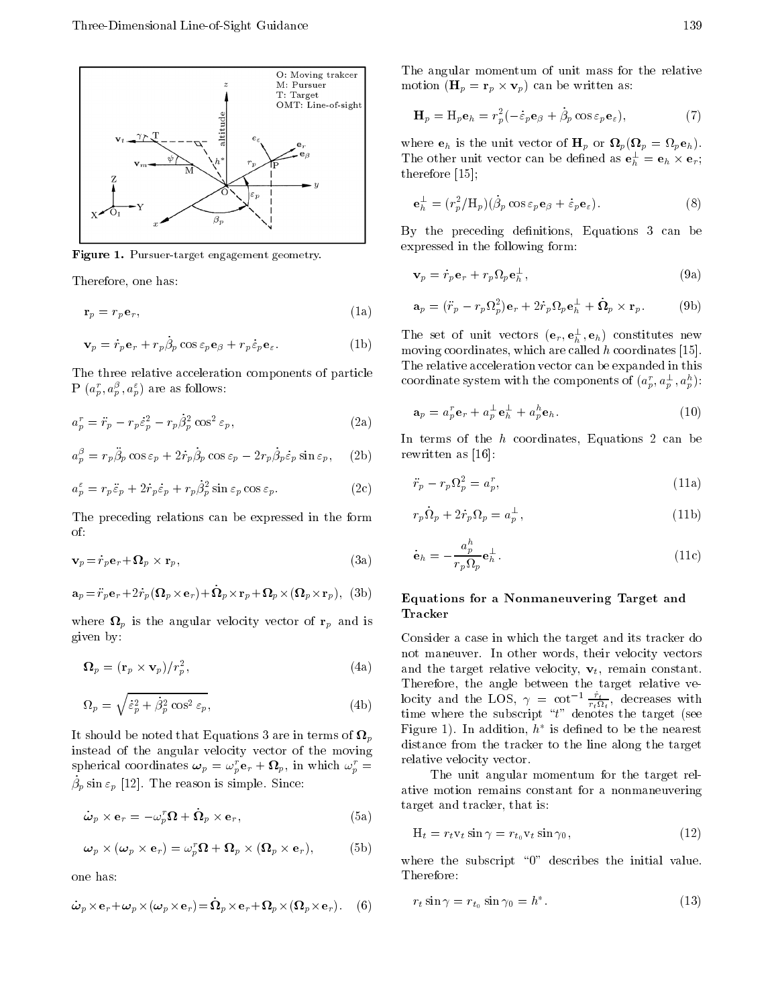

Figure - Pursuertarget engagement geometry-

Therefore, one has:

$$
\mathbf{r}_p = r_p \mathbf{e}_r,\tag{1a}
$$

$$
\mathbf{v}_p = \dot{r}_p \mathbf{e}_r + r_p \dot{\beta}_p \cos \varepsilon_p \mathbf{e}_\beta + r_p \dot{\varepsilon}_p \mathbf{e}_\varepsilon. \tag{1b}
$$

The three relative acceleration components of particle  $P^-(a_p, a_p^-, a_p^+)$  are as follows:

$$
a_p^r = \ddot{r}_p - r_p \dot{\varepsilon}_p^2 - r_p \dot{\beta}_p^2 \cos^2 \varepsilon_p, \tag{2a}
$$

$$
a_p^{\beta} = r_p \ddot{\beta}_p \cos \varepsilon_p + 2 \dot{r}_p \dot{\beta}_p \cos \varepsilon_p - 2 r_p \dot{\beta}_p \dot{\varepsilon}_p \sin \varepsilon_p, \quad (2b)
$$

$$
a_p^{\varepsilon} = r_p \ddot{\varepsilon}_p + 2 \dot{r}_p \dot{\varepsilon}_p + r_p \dot{\beta}_p^2 \sin \varepsilon_p \cos \varepsilon_p. \tag{2c}
$$

The preceding relations can be expressed in the form of

$$
\mathbf{v}_p = \dot{r}_p \mathbf{e}_r + \mathbf{\Omega}_p \times \mathbf{r}_p,\tag{3a}
$$

$$
\mathbf{a}_p = \ddot{r}_p \mathbf{e}_r + 2\dot{r}_p (\mathbf{\Omega}_p \times \mathbf{e}_r) + \dot{\mathbf{\Omega}}_p \times \mathbf{r}_p + \mathbf{\Omega}_p \times (\mathbf{\Omega}_p \times \mathbf{r}_p), \text{ (3b)}
$$

where  $\mathbf{\Omega}_p$  is the angular velocity vector of  $\mathbf{r}_p$  and is given by

$$
\mathbf{\Omega}_p = (\mathbf{r}_p \times \mathbf{v}_p)/r_p^2, \tag{4a}
$$

$$
\Omega_p = \sqrt{\dot{\varepsilon}_p^2 + \dot{\beta}_p^2 \cos^2 \varepsilon_p},\tag{4b}
$$

It should be noted that Equations 3 are in terms of  $\Omega_p$ instead of the angular velocity vector of the moving spherical coordinates  $\boldsymbol{\omega}_p = \omega_p^r \mathbf{e}_r + \boldsymbol{\Omega}_p$ , in which  $\omega_p^r =$  $\rho_p$  sin  $\varepsilon_p$  | 12|. The reason is simple. Since.

$$
\dot{\boldsymbol{\omega}}_p \times \mathbf{e}_r = -\omega_p^r \boldsymbol{\Omega} + \dot{\boldsymbol{\Omega}}_p \times \mathbf{e}_r, \tag{5a}
$$

$$
\boldsymbol{\omega}_p \times (\boldsymbol{\omega}_p \times \mathbf{e}_r) = \omega_p^r \boldsymbol{\Omega} + \boldsymbol{\Omega}_p \times (\boldsymbol{\Omega}_p \times \mathbf{e}_r), \tag{5b}
$$

one has

$$
\dot{\boldsymbol{\omega}}_p \times \mathbf{e}_r + \boldsymbol{\omega}_p \times (\boldsymbol{\omega}_p \times \mathbf{e}_r) = \dot{\boldsymbol{\Omega}}_p \times \mathbf{e}_r + \boldsymbol{\Omega}_p \times (\boldsymbol{\Omega}_p \times \mathbf{e}_r).
$$
 (6)

The angular momentum of unit mass for the relative motion  $\left( -\nu \right)$  as  $\nu$  , we we we written as  $\left( -\nu \right)$ 

$$
\mathbf{H}_p = \mathbf{H}_p \mathbf{e}_h = r_p^2 (-\dot{\varepsilon}_p \mathbf{e}_\beta + \dot{\beta}_p \cos \varepsilon_p \mathbf{e}_\varepsilon),\tag{7}
$$

where eh is the unit vector of Hp or p-p or p-p-p-p-p-The other unit vector can be defined as  ${\bf e}_h^{\perp}={\bf e}_h\times{\bf e}_r$ ; therefore the control of the control of the control of the control of the control of the control of the control of the control of the control of the control of the control of the control of the control of the control of th

$$
\mathbf{e}_h^{\perp} = (r_p^2 / \mathbf{H}_p)(\dot{\beta}_p \cos \varepsilon_p \mathbf{e}_\beta + \dot{\varepsilon}_p \mathbf{e}_\varepsilon). \tag{8}
$$

By the preceding definitions, Equations 3 can be expressed in the following form

$$
\mathbf{v}_p = \dot{r}_p \mathbf{e}_r + r_p \Omega_p \mathbf{e}_h^{\perp},\tag{9a}
$$

$$
\mathbf{a}_p = (\ddot{r}_p - r_p \Omega_p^2) \mathbf{e}_r + 2 \dot{r}_p \Omega_p \mathbf{e}_h^{\perp} + \dot{\Omega}_p \times \mathbf{r}_p. \tag{9b}
$$

 $\overline{\phantom{a}}$  moving coordinates, which are called h coordinates [15]. The set of unit vectors  $(e_r, e_h^-, e_h)$  constitutes new The relative acceleration vector can be expanded in this coordinate system with the components of  $(a_p, a_p, a_p)$ :

$$
\mathbf{a}_p = a_p^r \mathbf{e}_r + a_p^{\perp} \mathbf{e}_h^{\perp} + a_p^h \mathbf{e}_h. \tag{10}
$$

berg as the state of the state of the state of the state of the state of the state of the state of the state o In terms of the  $h$  coordinates, Equations 2 can be

$$
\ddot{r}_p - r_p \Omega_p^2 = a_p^r,\tag{11a}
$$

$$
r_p \dot{\Omega}_p + 2\dot{r}_p \Omega_p = a_p^{\perp},\tag{11b}
$$

$$
\dot{\mathbf{e}}_h = -\frac{a_p^h}{r_p \Omega_p} \mathbf{e}_h^{\perp}.
$$
 (11c)

#### $\sim$  Equations for a Nonmaneuvering Target and  $\sim$ Tracker

 $\alpha$  and the target relative velocity,  $\epsilon_t$ , remain constant.  $\Phi$  and the LOS,  $\gamma = \cot \frac{\tau}{r_t \Omega_t}$ , decreases with Consider a case in which the target and its tracker do not maneuver. In other words, their velocity vectors Therefore, the angle between the target relative vetime where the subscript t denotes the target -see  $r_{1}$ gure 1). In addition,  $n_{1}$  is defined to be the nearest distance from the tracker to the line along the target relative velocity vector

> The unit angular momentum for the target rel ative motion remains constant for a nonmaneuvering target and tracker, that is:

$$
H_t = r_t v_t \sin \gamma = r_{t_0} v_t \sin \gamma_0, \qquad (12)
$$

where the subscript " $0$ " describes the initial value. Therefore

$$
r_t \sin \gamma = r_{t_0} \sin \gamma_0 = h^*.
$$
 (13)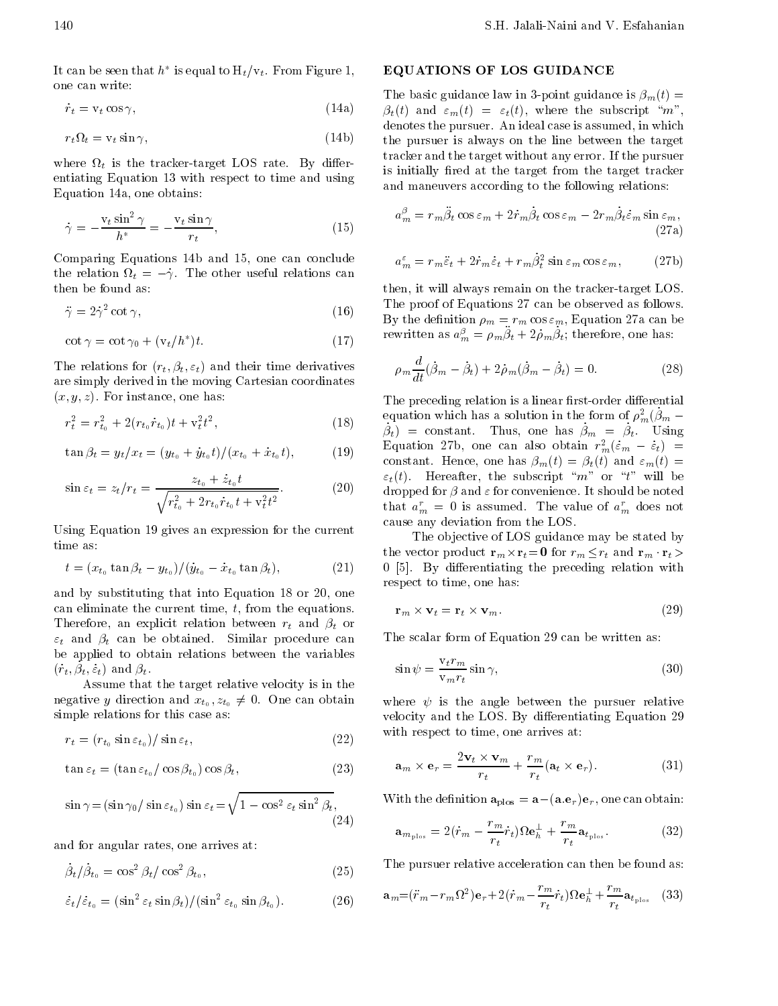It can be seen that  $h$  is equal to  $\mathbf{H}_t/\mathbf{V}_t$ . From Figure 1, one can write

 $\dot{r}_t = v_t \cos \gamma,$  $(14a)$ 

$$
r_t \Omega_t = \mathbf{v}_t \sin \gamma,\tag{14b}
$$

where  $\Omega_t$  is the tracker-target LOS rate. By differentiating Equation 13 with respect to time and using Equation 14a, one obtains:

$$
\dot{\gamma} = -\frac{v_t \sin^2 \gamma}{h^*} = -\frac{v_t \sin \gamma}{r_t},\tag{15}
$$

Comparing Equations 14b and 15, one can conclude the relation  $\Omega_t = -\dot{\gamma}$ . The other useful relations can then be found as

$$
\ddot{\gamma} = 2\dot{\gamma}^2 \cot \gamma,\tag{16}
$$

$$
\cot \gamma = \cot \gamma_0 + (\mathbf{v}_t / h^*) t. \tag{17}
$$

The relations for -rt -t t and their time derivatives are simply derived in the moving Cartesian coordinates  $x \rightarrow x$  instance on the instance one has instance on the instance one has in the instance one has in

$$
r_t^2 = r_{t_0}^2 + 2(r_{t_0} \dot{r}_{t_0})t + \mathbf{v}_t^2 t^2, \tag{18}
$$

$$
\tan \beta_t = y_t / x_t = (y_{t_0} + \dot{y}_{t_0}t) / (x_{t_0} + \dot{x}_{t_0}t), \tag{19}
$$

$$
\sin \varepsilon_t = z_t / r_t = \frac{z_{t_0} + \dot{z}_{t_0}t}{\sqrt{r_{t_0}^2 + 2r_{t_0}\dot{r}_{t_0}t + \mathbf{v}_t^2 t^2}}.
$$
 (20)

Using Equation 19 gives an expression for the current time as

$$
t = (x_{t_0} \tan \beta_t - y_{t_0}) / (\dot{y}_{t_0} - \dot{x}_{t_0} \tan \beta_t), \tag{21}
$$

and by substituting that into Equation  $18$  or  $20$ , one can eliminate the current time,  $t$ , from the equations. Therefore and the completence relationship and  $\alpha$  and  $\beta$  and  $\alpha$  and  $\beta$  and  $\alpha$ t and the similar procedure can be obtained to the canonical procedure can be a contracted by the canonical procedure can be a contracted by the canonical procedure can be a contracted by the canonical procedure can be a c be applied to obtain relations between the variables  $(t_t, \mu_t, \epsilon_t)$  and  $\mu_t$ .

Assume that the target relative velocity is in the negative y direction and  $x_{t_0}, z_{t_0} \neq 0$ . One can obtain simple relations for this case as

$$
r_t = (r_{t_0} \sin \varepsilon_{t_0}) / \sin \varepsilon_t,\tag{22}
$$

$$
\tan \varepsilon_t = (\tan \varepsilon_{t_0} / \cos \beta_{t_0}) \cos \beta_t, \tag{23}
$$

$$
\sin \gamma = (\sin \gamma_0 / \sin \varepsilon_{t_0}) \sin \varepsilon_t = \sqrt{1 - \cos^2 \varepsilon_t \sin^2 \beta_t},
$$

and for angular rates, one arrives at:

$$
\dot{\beta}_t / \dot{\beta}_{t_0} = \cos^2 \beta_t / \cos^2 \beta_{t_0},\tag{25}
$$

$$
\dot{\varepsilon}_t/\dot{\varepsilon}_{t_0} = (\sin^2 \varepsilon_t \sin \beta_t) / (\sin^2 \varepsilon_{t_0} \sin \beta_{t_0}). \tag{26}
$$

### EQUATIONS OF LOS GUIDANCE

 $\ddot{\phantom{a}}$ 

 $\tau$  the pursuer is always on the line between the target  $\mathbf{f}$  is - the basic guidance is - the point guidance is - the point guidance is - the point guidance is - the point guidance is - the point guidance is - the point guidance is - the point guidance is - the point guida the substantial method of the subscription of the subscription of the subscription of the subscription of the s denotes the pursuer. An ideal case is assumed, in which tracker and the target without any error. If the pursuer is initially fired at the target from the target tracker and maneuvers according to the following relations

$$
a_m^{\beta} = r_m \ddot{\beta}_t \cos \varepsilon_m + 2 \dot{r}_m \dot{\beta}_t \cos \varepsilon_m - 2 r_m \dot{\beta}_t \dot{\varepsilon}_m \sin \varepsilon_m,
$$
\n(27a)

$$
a_m^{\varepsilon} = r_m \ddot{\varepsilon}_t + 2\dot{r}_m \dot{\varepsilon}_t + r_m \dot{\beta}_t^2 \sin \varepsilon_m \cos \varepsilon_m, \qquad (27b)
$$

 $\beta$  By the definition  $\rho_m = r_m \cos \epsilon_m$ , Equation 27a can be then, it will always remain on the tracker-target LOS. The proof of Equations 27 can be observed as follows. rewritten as  $a_m = \rho_m \rho_t + 2\rho_m \rho_t$ ; therefore, one has:

$$
\rho_m \frac{d}{dt} (\dot{\beta}_m - \dot{\beta}_t) + 2\dot{\rho}_m (\dot{\beta}_m - \dot{\beta}_t) = 0.
$$
 (28)

 $\beta_t$  = constant. Thus, one has  $\beta_m = \beta_t$ . Using constant. Hence, one has  $\beta_m(t) = \beta_t(t)$  and  $\varepsilon_m(t) =$  $\sim$  - - and along  $\rho$  and convenience. It should be noted The preceding relation is a linear first-order differential equation which has a solution in the form of  $\rho_m(\rho_m=$ Equation 276, one can also obtain  $r_m^{\ast}(\varepsilon_m - \varepsilon_t)$  = the the subscript m or the subscript m or the subscription of the subscription of the subscription of the subscription of the subscription of the subscription of the subscription of the subscription of the subscription of that  $a_m^r = 0$  is assumed. The value of  $a_m^r$  does not cause any deviation from the LOS

 By dierentiating the preceding relation with The objective of LOS guidance may be stated by the vector product rate  $\mu$  respectively. The results respectively in the results of  $\mu$ respect to time, one has:

$$
\mathbf{r}_m \times \mathbf{v}_t = \mathbf{r}_t \times \mathbf{v}_m. \tag{29}
$$

The scalar form of Equation 29 can be written as:

$$
\sin \psi = \frac{\mathbf{v}_t r_m}{\mathbf{v}_m r_t} \sin \gamma,\tag{30}
$$

where  $\mathbf{r}$  is the angle between the pursuer relative relative relative relative relative relative relative velocity and the LOS. By differentiating Equation 29 with respect to time, one arrives at:

$$
\mathbf{a}_m \times \mathbf{e}_r = \frac{2\mathbf{v}_t \times \mathbf{v}_m}{r_t} + \frac{r_m}{r_t} (\mathbf{a}_t \times \mathbf{e}_r).
$$
 (31)

with the density of  $\mathcal{W}^{(0)}$  and  $\mathcal{W}^{(0)}$  are also can obtain obtained and  $\mathcal{W}^{(0)}$ 

$$
\mathbf{a}_{m_{\text{plos}}} = 2(\dot{r}_m - \frac{r_m}{r_t}\dot{r}_t)\Omega \mathbf{e}_h^{\perp} + \frac{r_m}{r_t}\mathbf{a}_{t_{\text{plos}}}.
$$
 (32)

The pursuer relative acceleration can then be found as

$$
\mathbf{a}_{m} = (\ddot{r}_{m} - r_{m}\Omega^{2})\mathbf{e}_{r} + 2(\dot{r}_{m} - \frac{r_{m}}{r_{t}}\dot{r}_{t})\Omega\mathbf{e}_{h}^{\perp} + \frac{r_{m}}{r_{t}}\mathbf{a}_{t_{\text{plos}}} \quad (33)
$$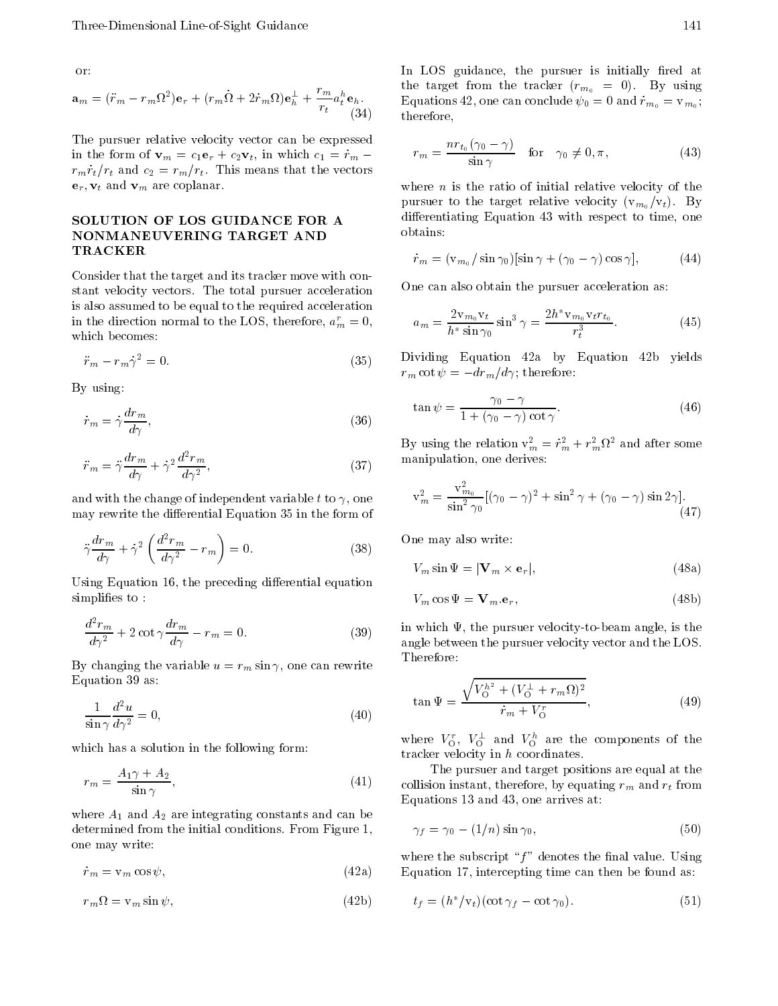or

$$
\mathbf{a}_m = (\ddot{r}_m - r_m \Omega^2) \mathbf{e}_r + (r_m \dot{\Omega} + 2 \dot{r}_m \Omega) \mathbf{e}_h^{\perp} + \frac{r_m}{r_t} a_t^h \mathbf{e}_h.
$$
\n(34)

The pursuer relative velocity vector can be expressed in the form of variable contracts of  $\alpha$  in which contracts  $\alpha$  in which contracts  $\alpha$  in which contracts  $\alpha$  $r_m \dot{r}_t/r_t$  and  $c_2 = r_m/r_t$ . This means that the vectors  $\mathbf{e}_r, \mathbf{v}_t$  and  $\mathbf{v}_m$  are coplanar.

## SOLUTION OF LOS GUIDANCE FOR A NONMANEUVERING TARGET AND TRACKER

Consider that the target and its tracker move with con stant velocity vectors. The total pursuer acceleration is also assumed to be equal to the required acceleration in the direction normal to the LOS, therefore,  $a_m^r = 0$ , which becomes

$$
\ddot{r}_m - r_m \dot{\gamma}^2 = 0. \tag{35}
$$

By using

$$
\dot{r}_m = \dot{\gamma} \frac{dr_m}{d\gamma},\tag{36}
$$

$$
\ddot{r}_m = \ddot{\gamma} \frac{dr_m}{d\gamma} + \dot{\gamma}^2 \frac{d^2 r_m}{d\gamma^2},\tag{37}
$$

and with the change of independent variable t to  $\gamma$ , one may rewrite the differential Equation 35 in the form of

$$
\ddot{\gamma}\frac{dr_m}{d\gamma} + \dot{\gamma}^2 \left(\frac{d^2r_m}{d\gamma^2} - r_m\right) = 0. \tag{38}
$$

Using Equation 16, the preceding differential equation simplifies to:

$$
\frac{d^2r_m}{d\gamma^2} + 2\cot\gamma\frac{dr_m}{d\gamma} - r_m = 0.
$$
 (39)

By changing the variable  $u = r_m \sin \gamma$ , one can rewrite Equation 39 as:

$$
\frac{1}{\sin \gamma} \frac{d^2 u}{d \gamma^2} = 0,\tag{40}
$$

which has a solution in the following form:

$$
r_m = \frac{A_1 \gamma + A_2}{\sin \gamma},\tag{41}
$$

where  $\mathbf{A}$  and  $\mathbf{A}$  are integrating constants and can be integrated and can be integrated and can be integrated as  $\mathbf{A}$ determined from the initial conditions. From Figure 1, one may write

 $\dot{r}_m = v_m \cos \psi,$  - $(42a)$ 

$$
r_m \Omega = \mathbf{v}_m \sin \psi,\tag{42b}
$$

 $\theta$  therefore, In LOS guidance, the pursuer is initially fired at  $\mathbf{r}$  the tracker of the trackers  $\mathbf{r}$  ,  $\mathbf{r}$  ,  $\mathbf{r}$  and  $\mathbf{r}$  $\mathcal{L}_1$  - and  $\mathcal{L}_2$  and  $\mathcal{L}_3$  . Then are  $\mathcal{L}_3$  and  $\mathcal{L}_4$  and  $\mathcal{L}_5$  and  $\mathcal{L}_7$  and  $\mathcal{L}_8$  and  $\mathcal{L}_7$  and  $\mathcal{L}_8$  and  $\mathcal{L}_7$  and  $\mathcal{L}_8$  and  $\mathcal{L}_7$  and  $\mathcal{L}_8$  and  $\mathcal{L}_7$  and  $\$ 

$$
r_m = \frac{nr_{t_0}(\gamma_0 - \gamma)}{\sin \gamma} \quad \text{for} \quad \gamma_0 \neq 0, \pi,\tag{43}
$$

where  $n$  is the ratio of initial relative velocity of the pursue to the target relationship of the target relationship of the target relationship of the target relationship of the target relationship of the target relationship of the target relationship of the target relationship differentiating Equation 43 with respect to time, one obtains:

$$
\dot{r}_m = (\mathbf{v}_{m_0}/\sin \gamma_0)[\sin \gamma + (\gamma_0 - \gamma)\cos \gamma], \tag{44}
$$

One can also obtain the pursuer acceleration as

$$
a_m = \frac{2v_{m_0}v_t}{h^* \sin \gamma_0} \sin^3 \gamma = \frac{2h^* v_{m_0}v_t r_{t_0}}{r_t^3}.
$$
 (45)

Dividing Equation 42a by Equation 42b yields rm contract there is a contract to the contract of the contract of the contract of the contract of the contract of the contract of the contract of the contract of the contract of the contract of the contract of the contrac

$$
\tan \psi = \frac{\gamma_0 - \gamma}{1 + (\gamma_0 - \gamma)\cot \gamma}.
$$
 (46)

By using the relation  $v_m = r_m + r_m$  and after some manipulation, one derives:

$$
v_m^2 = \frac{v_{m_0}^2}{\sin^2 \gamma_0} [(\gamma_0 - \gamma)^2 + \sin^2 \gamma + (\gamma_0 - \gamma) \sin 2\gamma]. \tag{47}
$$

One may also write

$$
V_m \sin \Psi = |\mathbf{V}_m \times \mathbf{e}_r|,\tag{48a}
$$

$$
V_m \cos \Psi = \mathbf{V}_m \cdot \mathbf{e}_r,\tag{48b}
$$

 $\sim$  angle between the pursuer velocity vector and the LOS. in which  $\Psi$ , the pursuer velocity-to-beam angle, is the Therefore

$$
\tan \Psi = \frac{\sqrt{V_O^{h^2} + (V_O^{\perp} + r_m \Omega)^2}}{\dot{r}_m + V_O^r},\tag{49}
$$

where  $v_0$ ,  $v_0$  and  $v_0$  are the components of the tracker velocity in  $h$  coordinates.

 $\ell$  collision instant, therefore, by equating  $r_m$  and  $r_t$  from The pursuer and target positions are equal at the Equations 13 and 43, one arrives at:

$$
\gamma_f = \gamma_0 - (1/n)\sin\gamma_0,\tag{50}
$$

where the subscript " $f$ " denotes the final value. Using Equation 17, intercepting time can then be found as:

$$
t_f = (h^* / v_t)(\cot \gamma_f - \cot \gamma_0). \tag{51}
$$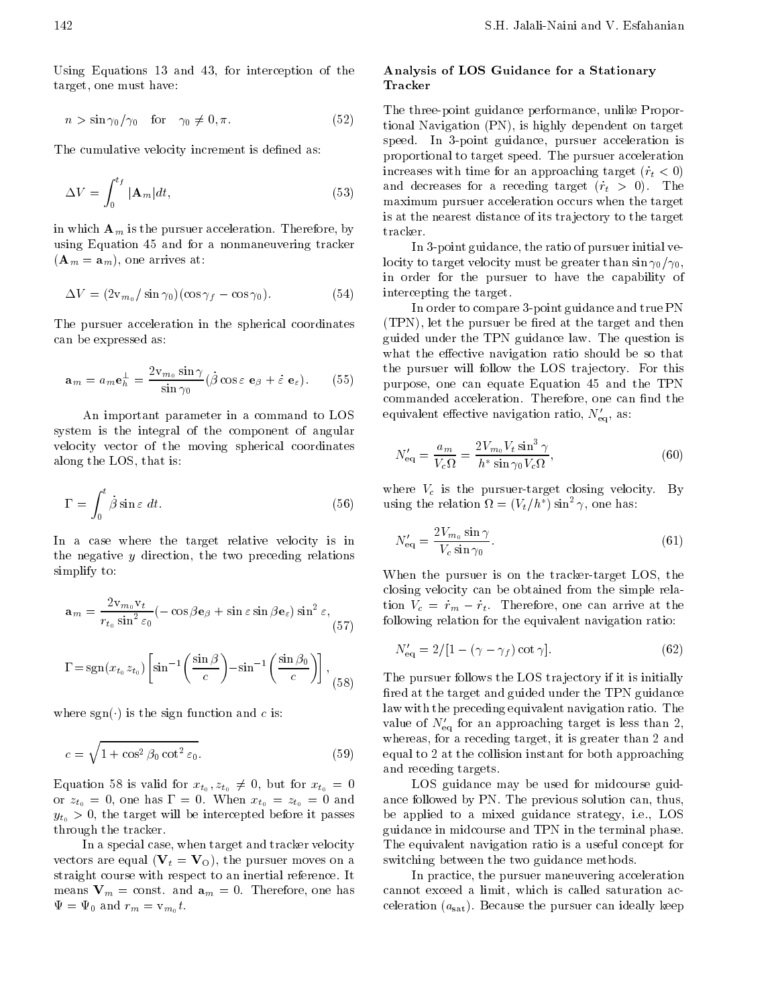Using Equations  $13$  and  $43$ , for interception of the target, one must have:

$$
n > \sin \gamma_0 / \gamma_0 \quad \text{for} \quad \gamma_0 \neq 0, \pi. \tag{52}
$$

The cumulative velocity increment is defined as:

$$
\Delta V = \int_0^{t_f} |\mathbf{A}_m| dt, \tag{53}
$$

in which  $\mathbf{A}_m$  is the pursuer acceleration. Therefore, by using Equation 45 and for a nonmaneuvering tracker  $\overline{\phantom{a}}$  and  $\overline{\phantom{a}}$  arrives at  $\overline{\phantom{a}}$  and  $\overline{\phantom{a}}$  arrives at  $\overline{\phantom{a}}$  and  $\overline{\phantom{a}}$  arrives at  $\overline{\phantom{a}}$  and  $\overline{\phantom{a}}$  arrives at  $\overline{\phantom{a}}$  and  $\overline{\phantom{a}}$  arrives at  $\overline{\phantom{a}}$  and  $\overline{\phantom{a}}$ 

$$
\Delta V = (2v_{m_0}/\sin \gamma_0)(\cos \gamma_f - \cos \gamma_0). \tag{54}
$$

The pursuer acceleration in the spherical coordinates can be expressed as

$$
\mathbf{a}_m = a_m \mathbf{e}_h^{\perp} = \frac{2v_{m_0} \sin \gamma}{\sin \gamma_0} (\dot{\beta} \cos \varepsilon \ \mathbf{e}_\beta + \dot{\varepsilon} \ \mathbf{e}_\varepsilon). \tag{55}
$$

An important parameter in a command to LOS system is the integral of the component of angular velocity vector of the moving spherical coordinates along the LOS, that is:

$$
\Gamma = \int_0^t \dot{\beta} \sin \varepsilon \, dt. \tag{56}
$$

In a case where the target relative velocity is in the negative  $y$  direction, the two preceding relations simplify to

$$
\mathbf{a}_{m} = \frac{2v_{m_{0}}v_{t}}{r_{t_{0}}\sin^{2}\varepsilon_{0}}(-\cos\beta\mathbf{e}_{\beta} + \sin\varepsilon\sin\beta\mathbf{e}_{\varepsilon})\sin^{2}\varepsilon, \qquad \text{if}
$$
\n
$$
(57) \qquad \text{if}
$$

$$
\Gamma = \text{sgn}(x_{t_0} z_{t_0}) \left[ \sin^{-1} \left( \frac{\sin \beta}{c} \right) - \sin^{-1} \left( \frac{\sin \beta_0}{c} \right) \right], \tag{58}
$$

 $\cdots$  is the sign function and contract  $\cdots$  is the sign function and contract  $\cdots$ 

$$
c = \sqrt{1 + \cos^2 \beta_0 \cot^2 \varepsilon_0}.
$$
 (59)

 $\mathcal{L} = \mathcal{L} \mathcal{L} \mathcal{L} \mathcal{L} \mathcal{L} \mathcal{L} \mathcal{L} \mathcal{L} \mathcal{L} \mathcal{L} \mathcal{L} \mathcal{L} \mathcal{L} \mathcal{L} \mathcal{L} \mathcal{L} \mathcal{L} \mathcal{L} \mathcal{L} \mathcal{L} \mathcal{L} \mathcal{L} \mathcal{L} \mathcal{L} \mathcal{L} \mathcal{L} \mathcal{L} \mathcal{L} \mathcal{L} \mathcal{L} \mathcal{L} \mathcal{L} \mathcal{L} \mathcal{L} \mathcal{L} \mathcal$ or  $\iota_0$  , and the state of the state  $\iota_0$  ,  $\iota_0$  , and the state of the state of the state of the state of the state of the state of the state of the state of the state of the state of the state of the state of th  $y_{t_0} > 0$ , the target will be intercepted before it passes through the tracker

In a special case, when target and tracker velocity vectors are equal to pursue moves on a construction of the pursue moves on a construction of the pursue on a co straight course with respect to an inertial reference It means  $V_m = \text{const.}$  and  $\mathbf{a}_m = 0$ . Therefore, one has  $\Psi = \Psi_0$  and  $r_m = v_{m_0}t$ .

## Analysis of LOS Guidance for a Stationary Tracker

 $\tau$  itional Navigation (PN), is highly dependent on target maximum pursuer acceleration occurs when the target The three-point guidance performance, unlike Proporspeed. In 3-point guidance, pursuer acceleration is proportional to target speed. The pursuer acceleration increases with time for an approximation of  $\mathbf{r}$ and decreases for a received target  $\setminus$  ,  $\setminus$  ,  $\setminus$  ,  $\setminus$  ,  $\setminus$  ,  $\setminus$  ,  $\setminus$  ,  $\setminus$  ,  $\setminus$  ,  $\setminus$  ,  $\setminus$  ,  $\setminus$  ,  $\setminus$  ,  $\setminus$  ,  $\setminus$  ,  $\setminus$  ,  $\setminus$  ,  $\setminus$  ,  $\setminus$  ,  $\setminus$  ,  $\setminus$  ,  $\setminus$  ,  $\setminus$  , is at the nearest distance of its tra jectory to the target tracker

 intercepting the target In 3-point guidance, the ratio of pursuer initial velocity to target velocity must be greater than  $\sin \gamma_0/\gamma_0$ , in order for the pursuer to have the capability of

 $\sim$  purpose, one can equate Equation 45 and the TPN In order to compare 3-point guidance and true PN  $\mathcal{L} = \mathcal{L} = \mathcal{L}$  , the target pursue the target and the target and the target and the target and the target and the target and the target and the target and the target and the target and the target and the target an guided under the TPN guidance law The question is what the effective navigation ratio should be so that the pursuer will follow the LOS trajectory. For this commanded acceleration. Therefore, one can find the equivalent effective navigation ratio,  $N'_{\text{eq}}$ , as:

$$
N'_{\text{eq}} = \frac{a_m}{V_c \Omega} = \frac{2V_{m_0} V_t \sin^3 \gamma}{h^* \sin \gamma_0 V_c \Omega},\tag{60}
$$

50) using the relation  $\Omega = (V_t/n)$  sin<sup>-</sup>  $\gamma$ , one has: where  $V_c$  is the pursuer-target closing velocity. By

$$
N'_{\text{eq}} = \frac{2V_{m_0} \sin \gamma}{V_c \sin \gamma_0}.\tag{61}
$$

When the pursuer is on the tracker-target LOS, the closing velocity can be obtained from the simple rela tion  $V_c = \dot{r}_m - \dot{r}_t$ . Therefore, one can arrive at the following relation for the equivalent navigation ratio

$$
N'_{\text{eq}} = 2/[1 - (\gamma - \gamma_f) \cot \gamma]. \tag{62}
$$

 equal to at the collision instant for both approaching The pursuer follows the LOS trajectory if it is initially red at the target and guided under the TPN guidance law with the preceding equivalent navigation ratio. The value of  $N'_{\text{eq}}$  for an approaching target is less than 2, whereas, for a receding target, it is greater than 2 and and receding targets

> LOS guidance may be used for midcourse guid ance followed by PN. The previous solution can, thus, be applied to a mixed guidance strategy, i.e., LOS guidance in midcourse and TPN in the terminal phase The equivalent navigation ratio is a useful concept for switching between the two guidance methods

> In practice, the pursuer maneuvering acceleration cannot exceed a limit, which is called saturation acceleration of the pursue the pursue of the pursue of the pursue of the pursue of the pursue of the pursue of t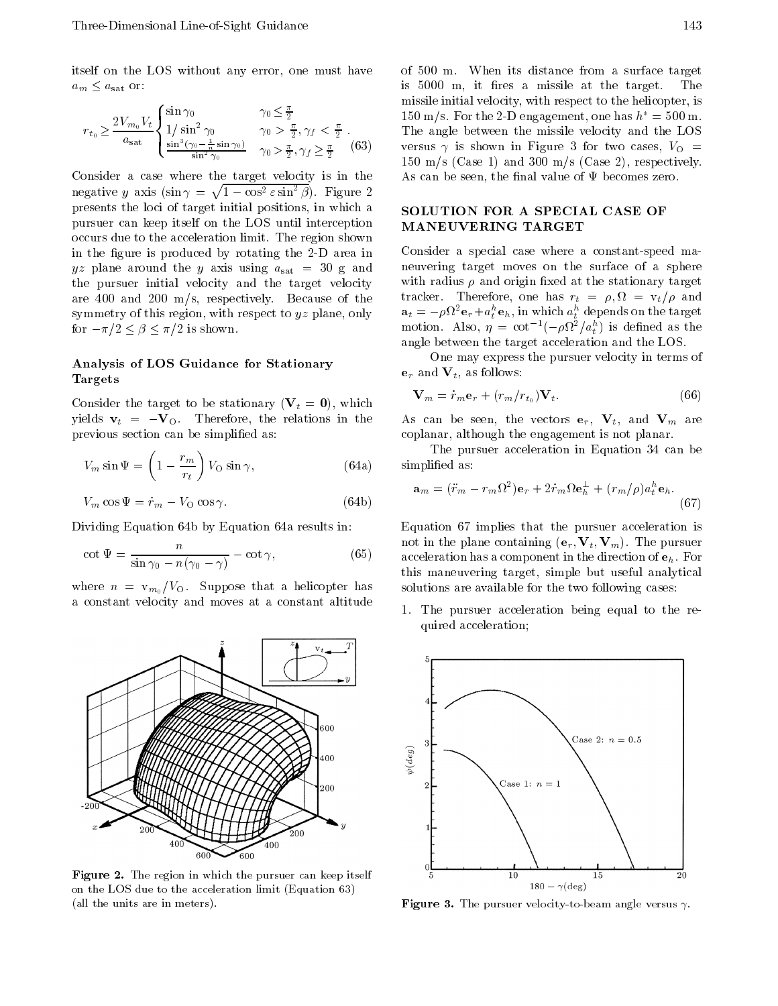itself on the LOS without any error, one must have  $a_m \leq a_{\text{sat}}$  or:

$$
r_{t_0} \ge \frac{2V_{m_0}V_t}{a_{\text{sat}}} \begin{cases} \sin \gamma_0 & \gamma_0 \le \frac{\pi}{2} \\ 1/\sin^2 \gamma_0 & \gamma_0 > \frac{\pi}{2}, \gamma_f < \frac{\pi}{2} \\ \frac{\sin^3(\gamma_0 - \frac{1}{n}\sin \gamma_0)}{\sin^2 \gamma_0} & \gamma_0 > \frac{\pi}{2}, \gamma_f \ge \frac{\pi}{2} \end{cases}
$$
(63)

Consider a case where the target velocity is in the negative y axis  $(\sin \gamma = \sqrt{1 - \cos^2 \varepsilon \sin^2 \beta})$ . Figure 2 presents the loci of target initial positions in which a pursuer can keep itself on the LOS until interception MANEUVERING TARGET occurs due to the acceleration limit. The region shown in the figure is produced by rotating the 2-D area in yz plane around the y axis using  $a_{\text{sat}} = 30$  g and the pursuer initial velocity and the target velocity are  $400$  and  $200$  m/s, respectively. Because of the symmetry of this region, with respect to  $yz$  plane, only for a state of the state  $\mathbf{r}$  , and the state of the state of the state of the state  $\mathbf{r}$ 

## Analysis of LOS Guidance for Stationary Targets

consider the target to be stationary  $\mathcal{N}$  ,  $\mathcal{N}$  , and the stationary yields  $v_t = -V_O$ . Therefore, the relations in the previous section can be simplified as:

$$
V_m \sin \Psi = \left(1 - \frac{r_m}{r_t}\right) V_O \sin \gamma, \tag{64a}
$$

$$
V_m \cos \Psi = \dot{r}_m - V_O \cos \gamma. \tag{64b}
$$

Dividing Equation 64b by Equation 64a results in:

$$
\cot \Psi = \frac{n}{\sin \gamma_0 - n(\gamma_0 - \gamma)} - \cot \gamma,\tag{65}
$$

where  $n = v_{m_0}/V_O$ . Suppose that a helicopter has a constant velocity and moves at a constant altitude



 $\bf r$  igure  $\bf z$ . The region in which the pursuer can keep itself on the LOS due to the acceleration limit (Equation  $63$ ) (all the units are in meters).

 $\gamma$  versus  $\gamma$  is shown in Figure 3 for two cases  $\gamma$ of 500 m. When its distance from a surface target is 5000 m, it fires a missile at the target. The missile initial velocity, with respect to the helicopter, is 150 m/s. For the 2-D engagement, one has  $h^* = 500$  m. The angle between the missile velocity and the LOS m s -Case and 

m s -Case respectively As can be seen, the final value of  $\Psi$  becomes zero.

# SOLUTION FOR A SPECIAL CASE OF

Consider a special case where a constant-speed maneuvering target moves on the surface of a sphere with radius  $\rho$  and origin fixed at the stationary target tracker. Therefore, one has  $r_t = \rho, \Omega = v_t/\rho$  and  $\mathbf{a}_t = -\rho \mathbf{v} t^{\text{-}} \mathbf{e}_r + a_t^{\text{-}} \mathbf{e}_h$ , in which  $a_t^{\text{-}}$  depends on the target motion. Also,  $\eta = \cot^{-1}(-\rho \nu^2/a_t^2)$  is defined as the angle between the target acceleration and the LOS

One may express the pursuer velocity in terms of  ${\bf e}_r$  and  ${\bf V}_t$ , as follows:

$$
\mathbf{V}_m = \dot{r}_m \mathbf{e}_r + (r_m/r_{t_0}) \mathbf{V}_t. \tag{66}
$$

As can be seen, the vectors  $e_r$ ,  $V_t$ , and  $V_m$  are coplanar, although the engagement is not planar.

 $\sim$  2 corrections are the simple associated as  $\sim$  1.1 corrections as  $\sim$  1.1 corrections as  $\sim$  1.1 corrections and  $\sim$  1.1 corrections are the simple states of  $\sim$  1.1 corrections and  $\sim$  1.1 corrections are the The pursuer acceleration in Equation 34 can be

$$
\mathbf{a}_m = (\ddot{r}_m - r_m \Omega^2) \mathbf{e}_r + 2 \dot{r}_m \Omega \mathbf{e}_h^{\perp} + (r_m/\rho) a_t^h \mathbf{e}_h.
$$
\n(67)

 $\alpha$  acceleration has a component in the direction of  $\mathbf{e}_h$ . For Equation 67 implies that the pursuer acceleration is not in the plane containing -er Vt Vm The pursuer this maneuvering target, simple but useful analytical solutions are available for the two following cases

> 1. The pursuer acceleration being equal to the required acceleration



**Figure 3.** The pursuer velocity-to-beam angle versus  $\gamma$ .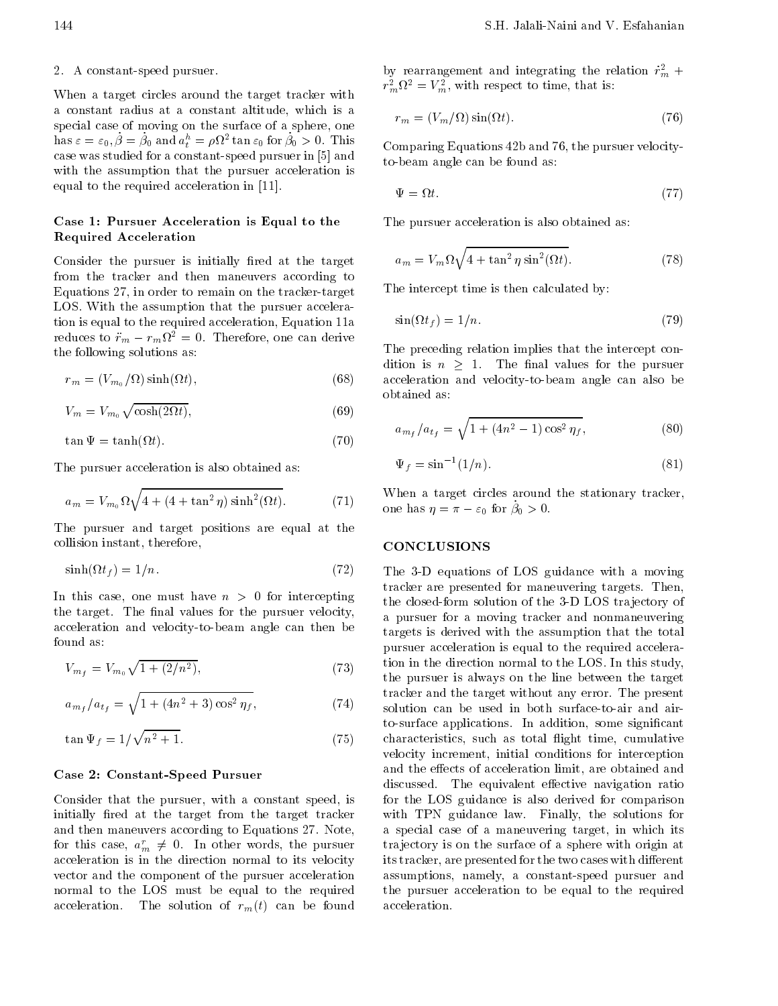## 2. A constant-speed pursuer.

When a target circles around the target tracker with a constant radius at a constant altitude, which is a special case of moving on the surface of a sphere, one  $\max \varepsilon = \varepsilon_0, \rho = \rho_0$  and  $a_t^* = \rho_1 t^*$  tan  $\varepsilon_0$  for  $\rho_0 > 0$ . This case was studied for a constant-speed pursuer in [5] and with the assumption that the pursuer acceleration is equal to the required acceleration in the required acceleration in the required acceleration in the required acceleration in the required acceleration in the required acceleration in the required acceleration in the requir

## Case 1: Pursuer Acceleration is Equal to the Required Acceleration

Consider the pursuer is initially fired at the target from the tracker and then maneuvers according to Equations  $27$ , in order to remain on the tracker-target LOS. With the assumption that the pursuer acceleration is equal to the required acceleration, Equation 11a reduces to  $\ddot{r}_m - r_m \Omega^2 = 0$ . Therefore, one can derive the following solutions as

$$
r_m = (V_{m_0}/\Omega)\sinh(\Omega t),\tag{68}
$$

$$
V_m = V_{m_0} \sqrt{\cosh(2\Omega t)},\tag{69}
$$

$$
\tan \Psi = \tanh(\Omega t). \tag{70}
$$

The pursuer acceleration is also obtained as

$$
a_m = V_{m_0} \Omega \sqrt{4 + (4 + \tan^2 \eta) \sinh^2(\Omega t)}.
$$
 (71)

The pursuer and target positions are equal at the collision instant, therefore,

$$
\sinh(\Omega t_f) = 1/n. \tag{72}
$$

In this case, one must have  $n > 0$  for intercepting the target. The final values for the pursuer velocity, acceleration and velocity-to-beam angle can then be found as

$$
V_{m_f} = V_{m_0} \sqrt{1 + (2/n^2)},\tag{73}
$$

$$
a_{m_f}/a_{t_f} = \sqrt{1 + (4n^2 + 3)\cos^2 \eta_f},\tag{74}
$$

$$
\tan\Psi_f = 1/\sqrt{n^2 + 1}.\tag{75}
$$

#### Case 2: Constant-Speed Pursuer

Consider that the pursuer, with a constant speed, is initially fired at the target from the target tracker and then maneuvers according to Equations 27. Note, for this case,  $a_m^r \neq 0$ . In other words, the pursuer acceleration is in the direction normal to its velocity vector and the component of the pursuer acceleration normal to the LOS must be equal to the required and solution  $\mathcal{L}$  the solution of real behavior of real behavior of real behavior of real behavior of  $\mathcal{L}$ 

by rearrangement and integrating the relation  $\dot{r}_m^2$  +  $r_m v = v_m$ , with respect to time, that is:

$$
r_m = (V_m/\Omega)\sin(\Omega t). \tag{76}
$$

to-beam angle can be found as: Comparing Equations 42b and 76, the pursuer velocity-

$$
\Psi = \Omega t. \tag{77}
$$

The pursuer acceleration is also obtained as

$$
a_m = V_m \Omega \sqrt{4 + \tan^2 \eta \sin^2(\Omega t)}.
$$
 (78)

The intercept time is then calculated by

$$
\sin(\Omega t_f) = 1/n. \tag{79}
$$

acceleration and velocity to cannot can also be also beam and also beam also beam also beam also be The preceding relation implies that the intercept con dition is  $n > 1$ . The final values for the pursuer obtained as

$$
a_{m_f}/a_{t_f} = \sqrt{1 + (4n^2 - 1)\cos^2 \eta_f},\tag{80}
$$

$$
\Psi_f = \sin^{-1}(1/n). \tag{81}
$$

 $\eta = \pi - \varepsilon_0$  for  $\beta_0 > 0$ . When a target circles around the stationary tracker,

#### CONCLUSIONS

 $\sim$  The  $\sigma$  D equations of LOS guidance with a moving  $t_{\text{obs}}$  the pursuer is always on the line between the target  $\sim$  solution can be used in both surface-to-air and aircharacteristics such as total  $\Omega$  . The cumulative cumulative cumulative cumulative cumulative cumulative cumulative cumulative cumulative cumulative cumulative cumulative cumulative cumulative cumulative cumulative cumu tracker are presented for maneuvering targets. Then, the closed-form solution of the 3-D LOS trajectory of a pursuer for a moving tracker and nonmaneuvering targets is derived with the assumption that the total pursuer acceleration is equal to the required accelera tion in the direction normal to the LOS. In this study, tracker and the target without any error The present to-surface applications. In addition, some significant velocity increment, initial conditions for interception and the effects of acceleration limit, are obtained and discussed. The equivalent effective navigation ratio for the LOS guidance is also derived for comparison with TPN guidance law. Finally, the solutions for a special case of a maneuvering target, in which its tra jectory is on the surface of a sphere with origin at its tracker, are presented for the two cases with different assumptions, namely, a constant-speed pursuer and the pursuer acceleration to be equal to the required acceleration